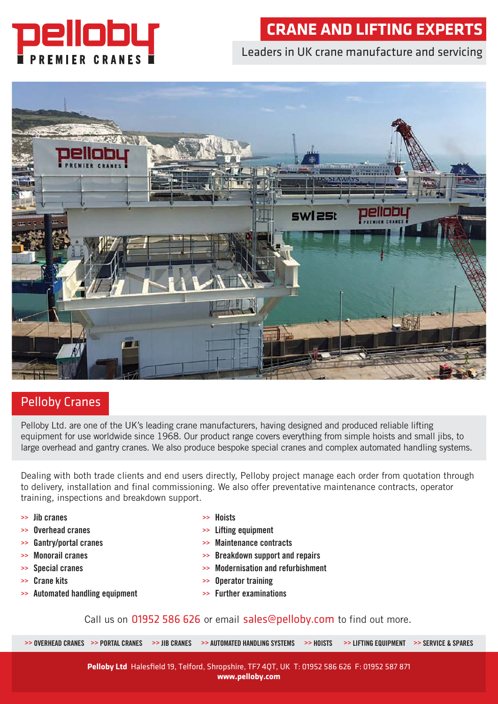

# **CRANE AND LIFTING EXPERTS**

### Leaders in UK crane manufacture and servicing



## Pelloby Cranes

Pelloby Ltd. are one of the UK's leading crane manufacturers, having designed and produced reliable lifting equipment for use worldwide since 1968. Our product range covers everything from simple hoists and small jibs, to large overhead and gantry cranes. We also produce bespoke special cranes and complex automated handling systems.

Dealing with both trade clients and end users directly, Pelloby project manage each order from quotation through to delivery, installation and final commissioning. We also offer preventative maintenance contracts, operator training, inspections and breakdown support.

- **>> Jib cranes**
- **>> Overhead cranes**
- **>> Gantry/portal cranes**
- **>> Monorail cranes**
- **>> Special cranes**
- **>> Crane kits**
- **>> Automated handling equipment**
- **>> Hoists**
- **>> Lifting equipment**
- **>> Maintenance contracts**
- **>> Breakdown support and repairs**
- **>> Modernisation and refurbishment**
- **>> Operator training**
- **>> Further examinations**

#### Call us on 01952 586 626 or email sales@pelloby.com to find out more.

>> OVERHEAD CRANES >> PORTAL CRANES >> JIB CRANES >> AUTOMATED HANDLING SYSTEMS >> HOISTS >> LIFTING EQUIPMENT >> SERVICE & SPARES